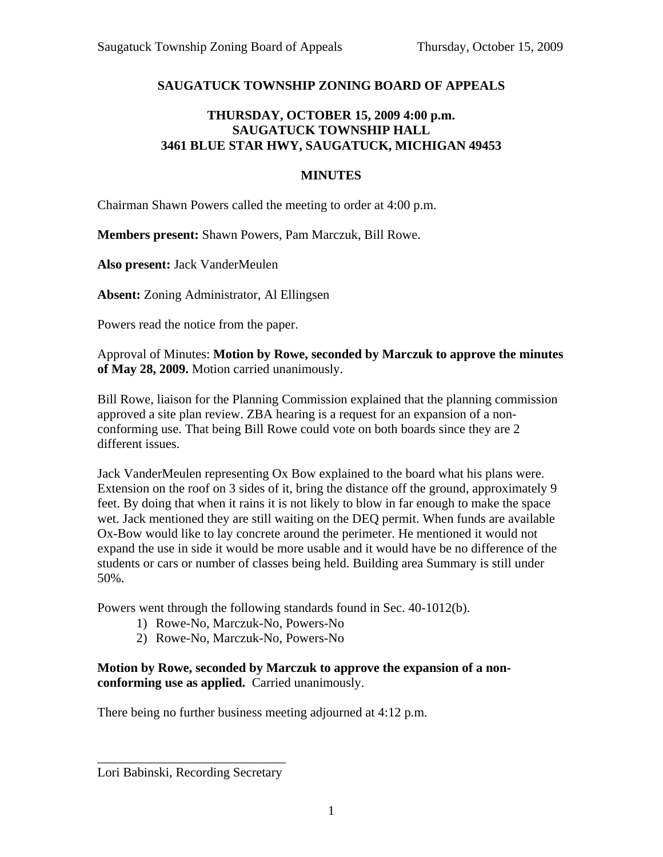## **SAUGATUCK TOWNSHIP ZONING BOARD OF APPEALS**

## **THURSDAY, OCTOBER 15, 2009 4:00 p.m. SAUGATUCK TOWNSHIP HALL 3461 BLUE STAR HWY, SAUGATUCK, MICHIGAN 49453**

## **MINUTES**

Chairman Shawn Powers called the meeting to order at 4:00 p.m.

**Members present:** Shawn Powers, Pam Marczuk, Bill Rowe.

**Also present:** Jack VanderMeulen

**Absent:** Zoning Administrator, Al Ellingsen

Powers read the notice from the paper.

Approval of Minutes: **Motion by Rowe, seconded by Marczuk to approve the minutes of May 28, 2009.** Motion carried unanimously.

Bill Rowe, liaison for the Planning Commission explained that the planning commission approved a site plan review. ZBA hearing is a request for an expansion of a nonconforming use. That being Bill Rowe could vote on both boards since they are 2 different issues.

Jack VanderMeulen representing Ox Bow explained to the board what his plans were. Extension on the roof on 3 sides of it, bring the distance off the ground, approximately 9 feet. By doing that when it rains it is not likely to blow in far enough to make the space wet. Jack mentioned they are still waiting on the DEQ permit. When funds are available Ox-Bow would like to lay concrete around the perimeter. He mentioned it would not expand the use in side it would be more usable and it would have be no difference of the students or cars or number of classes being held. Building area Summary is still under 50%.

Powers went through the following standards found in Sec. 40-1012(b).

- 1) Rowe-No, Marczuk-No, Powers-No
- 2) Rowe-No, Marczuk-No, Powers-No

**Motion by Rowe, seconded by Marczuk to approve the expansion of a nonconforming use as applied.** Carried unanimously.

There being no further business meeting adjourned at 4:12 p.m.

\_\_\_\_\_\_\_\_\_\_\_\_\_\_\_\_\_\_\_\_\_\_\_\_\_\_\_\_\_ Lori Babinski, Recording Secretary